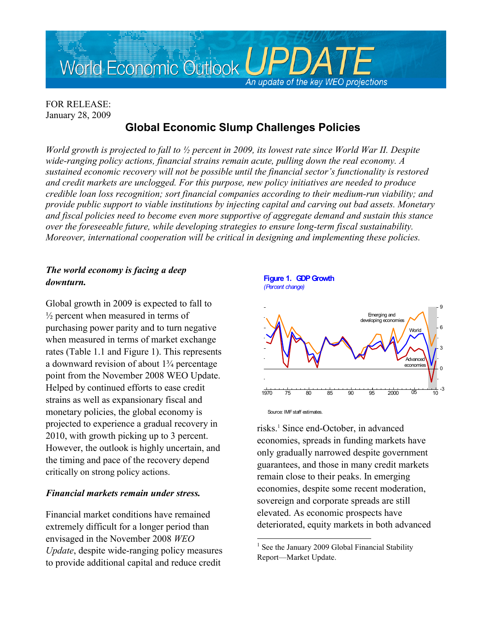

## FOR RELEASE: January 28, 2009

# **Global Economic Slump Challenges Policies**

*World growth is projected to fall to ½ percent in 2009, its lowest rate since World War II. Despite wide-ranging policy actions, financial strains remain acute, pulling down the real economy. A sustained economic recovery will not be possible until the financial sector's functionality is restored and credit markets are unclogged. For this purpose, new policy initiatives are needed to produce credible loan loss recognition; sort financial companies according to their medium-run viability; and provide public support to viable institutions by injecting capital and carving out bad assets. Monetary and fiscal policies need to become even more supportive of aggregate demand and sustain this stance over the foreseeable future, while developing strategies to ensure long-term fiscal sustainability. Moreover, international cooperation will be critical in designing and implementing these policies.* 

## *The world economy is facing a deep downturn.*

Global growth in 2009 is expected to fall to  $\frac{1}{2}$  percent when measured in terms of purchasing power parity and to turn negative when measured in terms of market exchange rates (Table 1.1 and Figure 1). This represents a downward revision of about 1¾ percentage point from the November 2008 WEO Update. Helped by continued efforts to ease credit strains as well as expansionary fiscal and monetary policies, the global economy is projected to experience a gradual recovery in 2010, with growth picking up to 3 percent. However, the outlook is highly uncertain, and the timing and pace of the recovery depend critically on strong policy actions.

#### *Financial markets remain under stress.*

Financial market conditions have remained extremely difficult for a longer period than envisaged in the November 2008 *WEO Update*, despite wide-ranging policy measures to provide additional capital and reduce credit



risks.<sup>1</sup> Since end-October, in advanced economies, spreads in funding markets have only gradually narrowed despite government guarantees, and those in many credit markets remain close to their peaks. In emerging economies, despite some recent moderation, sovereign and corporate spreads are still elevated. As economic prospects have deteriorated, equity markets in both advanced

a<br>B

<sup>&</sup>lt;sup>1</sup> See the January 2009 Global Financial Stability [Report––Market Update.](http://www.imf.org/External/Pubs/FT/fmu/eng/2009/01/index.htm)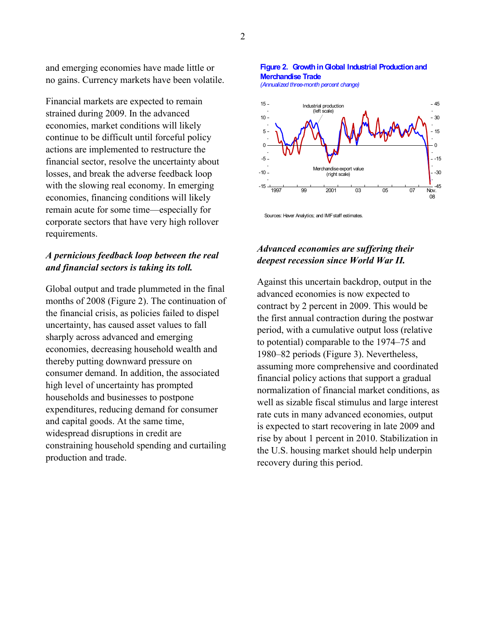and emerging economies have made little or no gains. Currency markets have been volatile.

Financial markets are expected to remain strained during 2009. In the advanced economies, market conditions will likely continue to be difficult until forceful policy actions are implemented to restructure the financial sector, resolve the uncertainty about losses, and break the adverse feedback loop with the slowing real economy. In emerging economies, financing conditions will likely remain acute for some time—especially for corporate sectors that have very high rollover requirements.

#### *A pernicious feedback loop between the real and financial sectors is taking its toll.*

Global output and trade plummeted in the final months of 2008 (Figure 2). The continuation of the financial crisis, as policies failed to dispel uncertainty, has caused asset values to fall sharply across advanced and emerging economies, decreasing household wealth and thereby putting downward pressure on consumer demand. In addition, the associated high level of uncertainty has prompted households and businesses to postpone expenditures, reducing demand for consumer and capital goods. At the same time, widespread disruptions in credit are constraining household spending and curtailing production and trade.

#### **Figure 2. Growth in Global Industrial Production and Merchandise Trade**

*(Annualized three-month percent change)*



Sources: Haver Analytics; and IMF staff estimates.

## *Advanced economies are suffering their deepest recession since World War II.*

Against this uncertain backdrop, output in the advanced economies is now expected to contract by 2 percent in 2009. This would be the first annual contraction during the postwar period, with a cumulative output loss (relative to potential) comparable to the 1974–75 and 1980–82 periods (Figure 3). Nevertheless, assuming more comprehensive and coordinated financial policy actions that support a gradual normalization of financial market conditions, as well as sizable fiscal stimulus and large interest rate cuts in many advanced economies, output is expected to start recovering in late 2009 and rise by about 1 percent in 2010. Stabilization in the U.S. housing market should help underpin recovery during this period.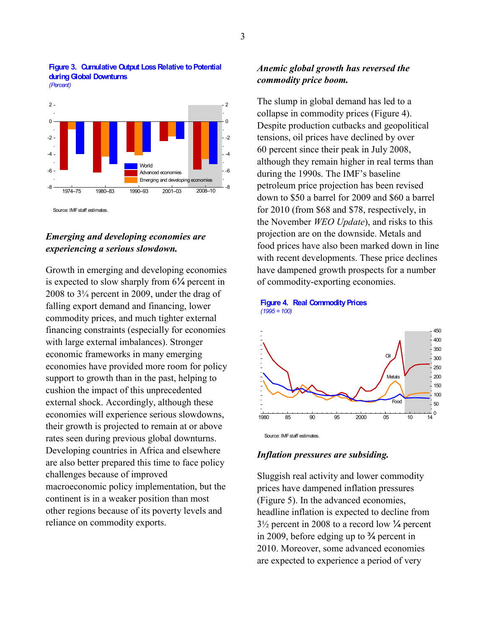

#### **Figure 3. Cumulative Output Loss Relative to Potential during Global Downturns** *(Percent)*

Source: IMF staff estimates.

### *Emerging and developing economies are experiencing a serious slowdown.*

Growth in emerging and developing economies is expected to slow sharply from 6¼ percent in 2008 to 3¼ percent in 2009, under the drag of falling export demand and financing, lower commodity prices, and much tighter external financing constraints (especially for economies with large external imbalances). Stronger economic frameworks in many emerging economies have provided more room for policy support to growth than in the past, helping to cushion the impact of this unprecedented external shock. Accordingly, although these economies will experience serious slowdowns, their growth is projected to remain at or above rates seen during previous global downturns. Developing countries in Africa and elsewhere are also better prepared this time to face policy challenges because of improved macroeconomic policy implementation, but the continent is in a weaker position than most other regions because of its poverty levels and reliance on commodity exports.

#### *Anemic global growth has reversed the commodity price boom.*

The slump in global demand has led to a collapse in commodity prices (Figure 4). Despite production cutbacks and geopolitical tensions, oil prices have declined by over 60 percent since their peak in July 2008, although they remain higher in real terms than during the 1990s. The IMF's baseline petroleum price projection has been revised down to \$50 a barrel for 2009 and \$60 a barrel for 2010 (from \$68 and \$78, respectively, in the November *WEO Update*), and risks to this projection are on the downside. Metals and food prices have also been marked down in line with recent developments. These price declines have dampened growth prospects for a number of commodity-exporting economies.



#### **Figure 4. Real Commodity Prices** *(1995 = 100)*

#### *Inflation pressures are subsiding.*

Sluggish real activity and lower commodity prices have dampened inflation pressures (Figure 5). In the advanced economies, headline inflation is expected to decline from 3½ percent in 2008 to a record low ¼ percent in 2009, before edging up to ¾ percent in 2010. Moreover, some advanced economies are expected to experience a period of very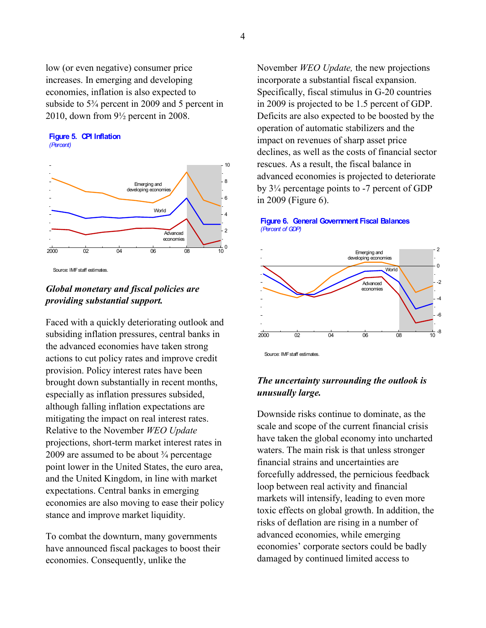low (or even negative) consumer price increases. In emerging and developing economies, inflation is also expected to subside to 5¾ percent in 2009 and 5 percent in 2010, down from 9½ percent in 2008.





Source: IMF staff estimates.

## *Global monetary and fiscal policies are providing substantial support.*

Faced with a quickly deteriorating outlook and subsiding inflation pressures, central banks in the advanced economies have taken strong actions to cut policy rates and improve credit provision. Policy interest rates have been brought down substantially in recent months, especially as inflation pressures subsided, although falling inflation expectations are mitigating the impact on real interest rates. Relative to the November *WEO Update*  projections, short-term market interest rates in 2009 are assumed to be about  $\frac{3}{4}$  percentage point lower in the United States, the euro area, and the United Kingdom, in line with market expectations. Central banks in emerging economies are also moving to ease their policy stance and improve market liquidity.

To combat the downturn, many governments have announced fiscal packages to boost their economies. Consequently, unlike the

November *WEO Update,* the new projections incorporate a substantial fiscal expansion. Specifically, fiscal stimulus in G-20 countries in 2009 is projected to be 1.5 percent of GDP. Deficits are also expected to be boosted by the operation of automatic stabilizers and the impact on revenues of sharp asset price declines, as well as the costs of financial sector rescues. As a result, the fiscal balance in advanced economies is projected to deteriorate by 3¼ percentage points to -7 percent of GDP in 2009 (Figure 6).

#### **Figure 6. General Government Fiscal Balances** *(Percent of GDP)*



Source: IMF staff estimates.

## *The uncertainty surrounding the outlook is unusually large.*

Downside risks continue to dominate, as the scale and scope of the current financial crisis have taken the global economy into uncharted waters. The main risk is that unless stronger financial strains and uncertainties are forcefully addressed, the pernicious feedback loop between real activity and financial markets will intensify, leading to even more toxic effects on global growth. In addition, the risks of deflation are rising in a number of advanced economies, while emerging economies' corporate sectors could be badly damaged by continued limited access to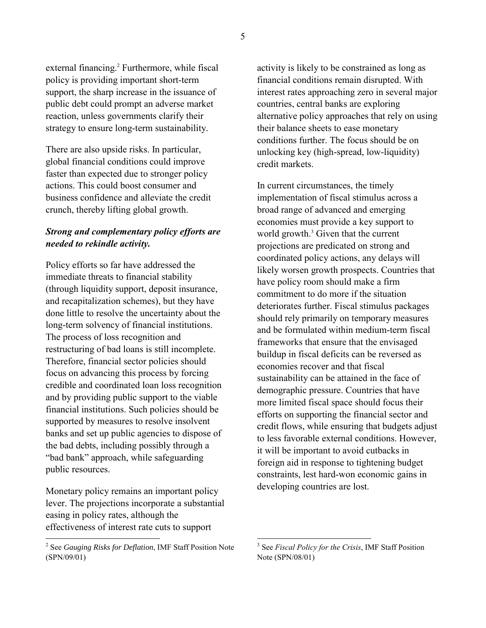external financing.<sup>2</sup> Furthermore, while fiscal policy is providing important short-term support, the sharp increase in the issuance of public debt could prompt an adverse market reaction, unless governments clarify their strategy to ensure long-term sustainability.

There are also upside risks. In particular, global financial conditions could improve faster than expected due to stronger policy actions. This could boost consumer and business confidence and alleviate the credit crunch, thereby lifting global growth.

#### *Strong and complementary policy efforts are needed to rekindle activity.*

Policy efforts so far have addressed the immediate threats to financial stability (through liquidity support, deposit insurance, and recapitalization schemes), but they have done little to resolve the uncertainty about the long-term solvency of financial institutions. The process of loss recognition and restructuring of bad loans is still incomplete. Therefore, financial sector policies should focus on advancing this process by forcing credible and coordinated loan loss recognition and by providing public support to the viable financial institutions. Such policies should be supported by measures to resolve insolvent banks and set up public agencies to dispose of the bad debts, including possibly through a "bad bank" approach, while safeguarding public resources.

Monetary policy remains an important policy lever. The projections incorporate a substantial easing in policy rates, although the effectiveness of interest rate cuts to support

activity is likely to be constrained as long as financial conditions remain disrupted. With interest rates approaching zero in several major countries, central banks are exploring alternative policy approaches that rely on using their balance sheets to ease monetary conditions further. The focus should be on unlocking key (high-spread, low-liquidity) credit markets.

In current circumstances, the timely implementation of fiscal stimulus across a broad range of advanced and emerging economies must provide a key support to world growth.<sup>3</sup> Given that the current projections are predicated on strong and coordinated policy actions, any delays will likely worsen growth prospects. Countries that have policy room should make a firm commitment to do more if the situation deteriorates further. Fiscal stimulus packages should rely primarily on temporary measures and be formulated within medium-term fiscal frameworks that ensure that the envisaged buildup in fiscal deficits can be reversed as economies recover and that fiscal sustainability can be attained in the face of demographic pressure. Countries that have more limited fiscal space should focus their efforts on supporting the financial sector and credit flows, while ensuring that budgets adjust to less favorable external conditions. However, it will be important to avoid cutbacks in foreign aid in response to tightening budget constraints, lest hard-won economic gains in developing countries are lost.

a<br>B

 2 See *[Gauging Risks for Deflation](http://www.imf.org/external/pubs/cat/longres.cfm?sk=22647.0)*, IMF Staff Position Note (SPN/09/01)

<sup>3</sup> See *[Fiscal Policy for the Crisis](http://www.imf.org/external/np/pp/eng/2008/122308.pdf)*, IMF Staff Position Note (SPN/08/01)